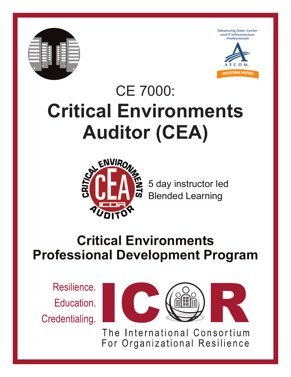





# CE 7000: **Critical Environments Auditor (CEA)**



5 day instructor led Blended Learning

## **Critical Environments Professional Development Program**

Resilience. Education. Credentialing.



The International Consortium For Organizational Resilience